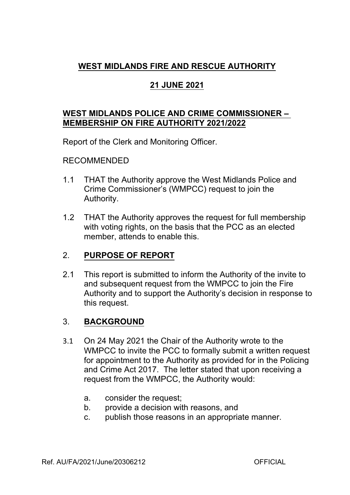# **WEST MIDLANDS FIRE AND RESCUE AUTHORITY**

## **21 JUNE 2021**

#### **WEST MIDLANDS POLICE AND CRIME COMMISSIONER – MEMBERSHIP ON FIRE AUTHORITY 2021/2022**

Report of the Clerk and Monitoring Officer.

#### RECOMMENDED

- 1.1 THAT the Authority approve the West Midlands Police and Crime Commissioner's (WMPCC) request to join the Authority.
- 1.2 THAT the Authority approves the request for full membership with voting rights, on the basis that the PCC as an elected member, attends to enable this.

## 2. **PURPOSE OF REPORT**

2.1 This report is submitted to inform the Authority of the invite to and subsequent request from the WMPCC to join the Fire Authority and to support the Authority's decision in response to this request.

#### 3. **BACKGROUND**

- 3.1 On 24 May 2021 the Chair of the Authority wrote to the WMPCC to invite the PCC to formally submit a written request for appointment to the Authority as provided for in the Policing and Crime Act 2017. The letter stated that upon receiving a request from the WMPCC, the Authority would:
	- a. consider the request;
	- b. provide a decision with reasons, and
	- c. publish those reasons in an appropriate manner.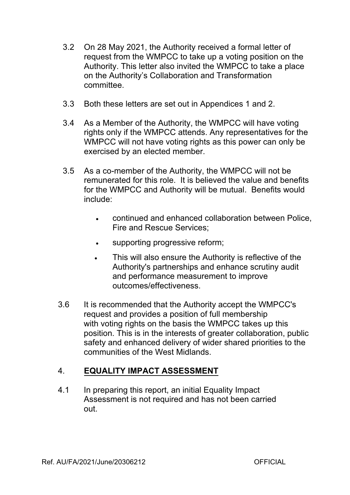- 3.2 On 28 May 2021, the Authority received a formal letter of request from the WMPCC to take up a voting position on the Authority. This letter also invited the WMPCC to take a place on the Authority's Collaboration and Transformation committee.
- 3.3 Both these letters are set out in Appendices 1 and 2.
- 3.4 As a Member of the Authority, the WMPCC will have voting rights only if the WMPCC attends. Any representatives for the WMPCC will not have voting rights as this power can only be exercised by an elected member.
- 3.5 As a co-member of the Authority, the WMPCC will not be remunerated for this role. It is believed the value and benefits for the WMPCC and Authority will be mutual. Benefits would include:
	- continued and enhanced collaboration between Police, Fire and Rescue Services;
	- supporting progressive reform;
	- This will also ensure the Authority is reflective of the Authority's partnerships and enhance scrutiny audit and performance measurement to improve outcomes/effectiveness.
- 3.6 It is recommended that the Authority accept the WMPCC's request and provides a position of full membership with voting rights on the basis the WMPCC takes up this position. This is in the interests of greater collaboration, public safety and enhanced delivery of wider shared priorities to the communities of the West Midlands.

# 4. **EQUALITY IMPACT ASSESSMENT**

4.1 In preparing this report, an initial Equality Impact Assessment is not required and has not been carried out.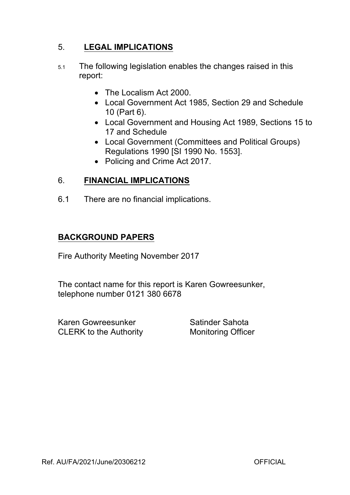## 5. **LEGAL IMPLICATIONS**

- 5.1 The following legislation enables the changes raised in this report:
	- The Localism Act 2000.
	- Local Government Act 1985, Section 29 and Schedule 10 (Part 6).
	- Local Government and Housing Act 1989, Sections 15 to 17 and Schedule
	- Local Government (Committees and Political Groups) Regulations 1990 [SI 1990 No. 1553].
	- Policing and Crime Act 2017.

## 6. **FINANCIAL IMPLICATIONS**

6.1 There are no financial implications.

## **BACKGROUND PAPERS**

Fire Authority Meeting November 2017

The contact name for this report is Karen Gowreesunker, telephone number 0121 380 6678

Karen Gowreesunker Satinder Sahota CLERK to the Authority **Monitoring Officer**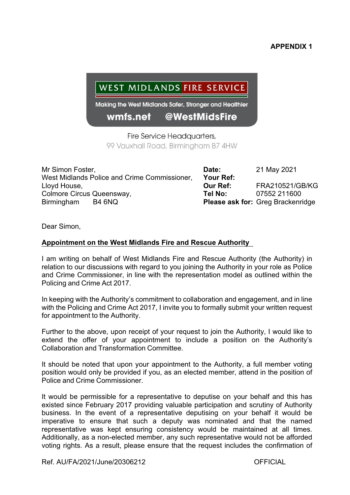#### **APPENDIX 1**

# WEST MIDLANDS FIRE SERVICE

Making the West Midlands Safer, Stronger and Healthier

#### wmfs.net @WestMidsFire

Fire Service Headquarters, 99 Vauxhall Road, Birmingham B7 4HW

Mr Simon Foster, **Date:** 21 May 2021 West Midlands Police and Crime Commissioner, **Your Ref:** Lloyd House, **Our Ref:** FRA210521/GB/KG Colmore Circus Queensway, **Tel No:** 07552 211600 Birmingham B4 6NQ **Please ask for:** Greg Brackenridge

Dear Simon,

#### **Appointment on the West Midlands Fire and Rescue Authority**

I am writing on behalf of West Midlands Fire and Rescue Authority (the Authority) in relation to our discussions with regard to you joining the Authority in your role as Police and Crime Commissioner, in line with the representation model as outlined within the Policing and Crime Act 2017.

In keeping with the Authority's commitment to collaboration and engagement, and in line with the Policing and Crime Act 2017, I invite you to formally submit your written request for appointment to the Authority.

Further to the above, upon receipt of your request to join the Authority, I would like to extend the offer of your appointment to include a position on the Authority's Collaboration and Transformation Committee.

It should be noted that upon your appointment to the Authority, a full member voting position would only be provided if you, as an elected member, attend in the position of Police and Crime Commissioner.

It would be permissible for a representative to deputise on your behalf and this has existed since February 2017 providing valuable participation and scrutiny of Authority business. In the event of a representative deputising on your behalf it would be imperative to ensure that such a deputy was nominated and that the named representative was kept ensuring consistency would be maintained at all times. Additionally, as a non-elected member, any such representative would not be afforded voting rights. As a result, please ensure that the request includes the confirmation of

Ref. AU/FA/2021/June/20306212 OFFICIAL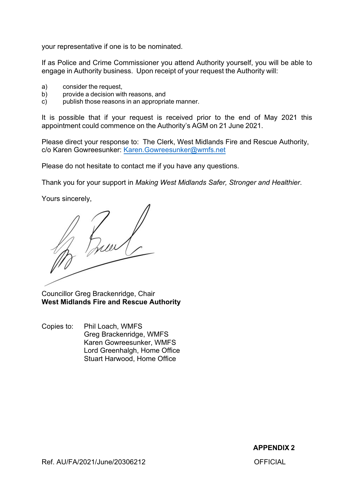your representative if one is to be nominated.

If as Police and Crime Commissioner you attend Authority yourself, you will be able to engage in Authority business. Upon receipt of your request the Authority will:

- a) consider the request,
- b) provide a decision with reasons, and
- c) publish those reasons in an appropriate manner.

It is possible that if your request is received prior to the end of May 2021 this appointment could commence on the Authority's AGM on 21 June 2021.

Please direct your response to: The Clerk, West Midlands Fire and Rescue Authority, c/o Karen Gowreesunker: [Karen.Gowreesunker@wmfs.net](mailto:Karen.Gowreesunker@wmfs.net)

Please do not hesitate to contact me if you have any questions.

Thank you for your support in *Making West Midlands Safer, Stronger and Healthier*.

Yours sincerely,

Councillor Greg Brackenridge, Chair **West Midlands Fire and Rescue Authority**

Copies to: Phil Loach, WMFS Greg Brackenridge, WMFS Karen Gowreesunker, WMFS Lord Greenhalgh, Home Office Stuart Harwood, Home Office